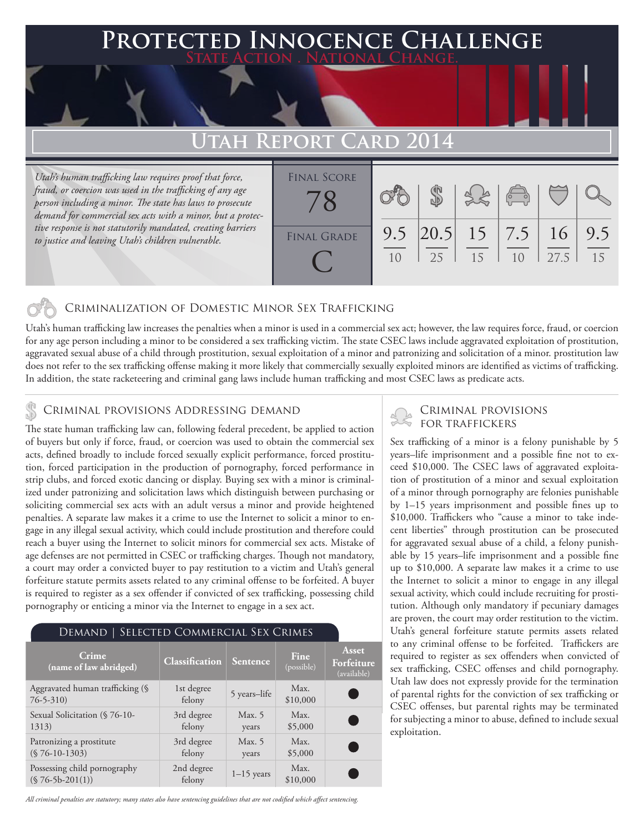### **FED INNOCENCE CHALLENGE State Action . National Change.**

## **TAH REPORT C**

*Utah's human trafficking law requires proof that force, fraud, or coercion was used in the trafficking of any age person including a minor. The state has laws to prosecute demand for commercial sex acts with a minor, but a protective response is not statutorily mandated, creating barriers to justice and leaving Utah's children vulnerable.* 

| <b>FINAL SCORE</b> |    |    |                                | $\left(\begin{matrix} 0 & 0 \\ 0 & 0 \end{matrix}\right)$ |      |    |
|--------------------|----|----|--------------------------------|-----------------------------------------------------------|------|----|
| <b>FINAL GRADE</b> | 10 | 25 | $9.5$ 20.5 15 7.5 16 9.5<br>15 | 10                                                        | 27.5 | 15 |

### Criminalization of Domestic Minor Sex Trafficking

Utah's human trafficking law increases the penalties when a minor is used in a commercial sex act; however, the law requires force, fraud, or coercion for any age person including a minor to be considered a sex trafficking victim. The state CSEC laws include aggravated exploitation of prostitution, aggravated sexual abuse of a child through prostitution, sexual exploitation of a minor and patronizing and solicitation of a minor. prostitution law does not refer to the sex trafficking offense making it more likely that commercially sexually exploited minors are identified as victims of trafficking. In addition, the state racketeering and criminal gang laws include human trafficking and most CSEC laws as predicate acts.

## CRIMINAL PROVISIONS ADDRESSING DEMAND<br>FOR TRAFFICKERS

The state human trafficking law can, following federal precedent, be applied to action of buyers but only if force, fraud, or coercion was used to obtain the commercial sex acts, defined broadly to include forced sexually explicit performance, forced prostitution, forced participation in the production of pornography, forced performance in strip clubs, and forced exotic dancing or display. Buying sex with a minor is criminalized under patronizing and solicitation laws which distinguish between purchasing or soliciting commercial sex acts with an adult versus a minor and provide heightened penalties. A separate law makes it a crime to use the Internet to solicit a minor to engage in any illegal sexual activity, which could include prostitution and therefore could reach a buyer using the Internet to solicit minors for commercial sex acts. Mistake of age defenses are not permitted in CSEC or trafficking charges. Though not mandatory, a court may order a convicted buyer to pay restitution to a victim and Utah's general forfeiture statute permits assets related to any criminal offense to be forfeited. A buyer is required to register as a sex offender if convicted of sex trafficking, possessing child pornography or enticing a minor via the Internet to engage in a sex act.

| DEMAND   SELECTED COMMERCIAL SEX CRIMES           |                      |                   |                           |                                           |  |  |  |  |
|---------------------------------------------------|----------------------|-------------------|---------------------------|-------------------------------------------|--|--|--|--|
| <b>Crime</b><br>(name of law abridged)            | Classification       | Sentence          | <b>Fine</b><br>(possible) | <b>Asset</b><br>Forfeiture<br>(available) |  |  |  |  |
| Aggravated human trafficking (§<br>$76 - 5 - 310$ | 1st degree<br>felony | 5 years-life      | Max.<br>\$10,000          |                                           |  |  |  |  |
| Sexual Solicitation (§ 76-10-<br>1313)            | 3rd degree<br>felony | Max. $5$<br>years | Max.<br>\$5,000           | C.                                        |  |  |  |  |
| Patronizing a prostitute<br>$(S 76-10-1303)$      | 3rd degree<br>felony | Max. $5$<br>years | Max.<br>\$5,000           |                                           |  |  |  |  |
| Possessing child pornography<br>$($76-5b-201(1))$ | 2nd degree<br>felony | $1-15$ years      | Max.<br>\$10,000          |                                           |  |  |  |  |

# Criminal provisions

Sex trafficking of a minor is a felony punishable by 5 years–life imprisonment and a possible fine not to exceed \$10,000. The CSEC laws of aggravated exploitation of prostitution of a minor and sexual exploitation of a minor through pornography are felonies punishable by 1–15 years imprisonment and possible fines up to \$10,000. Traffickers who "cause a minor to take indecent liberties" through prostitution can be prosecuted for aggravated sexual abuse of a child, a felony punishable by 15 years–life imprisonment and a possible fine up to \$10,000. A separate law makes it a crime to use the Internet to solicit a minor to engage in any illegal sexual activity, which could include recruiting for prostitution. Although only mandatory if pecuniary damages are proven, the court may order restitution to the victim. Utah's general forfeiture statute permits assets related to any criminal offense to be forfeited. Traffickers are required to register as sex offenders when convicted of sex trafficking, CSEC offenses and child pornography. Utah law does not expressly provide for the termination of parental rights for the conviction of sex trafficking or CSEC offenses, but parental rights may be terminated for subjecting a minor to abuse, defined to include sexual exploitation.

*All criminal penalties are statutory; many states also have sentencing guidelines that are not codified which affect sentencing.*